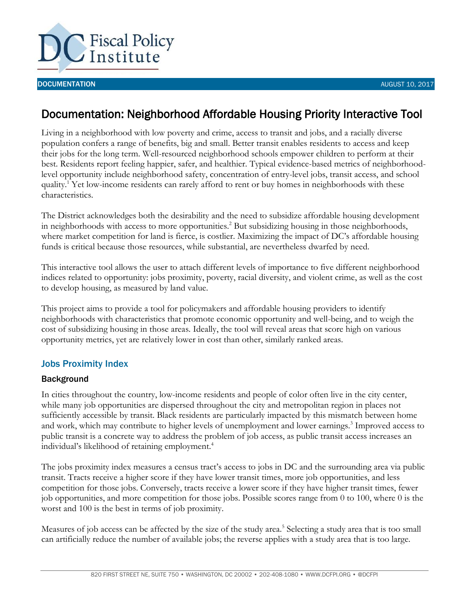

#### **DOCUMENTATION AUGUST 10, 2017 AUGUST 10, 2017**

# Documentation: Neighborhood Affordable Housing Priority Interactive Tool

Living in a neighborhood with low poverty and crime, access to transit and jobs, and a racially diverse population confers a range of benefits, big and small. Better transit enables residents to access and keep their jobs for the long term. Well-resourced neighborhood schools empower children to perform at their best. Residents report feeling happier, safer, and healthier. Typical evidence-based metrics of neighborhoodlevel opportunity include neighborhood safety, concentration of entry-level jobs, transit access, and school quality.<sup>1</sup> Yet low-income residents can rarely afford to rent or buy homes in neighborhoods with these characteristics.

The District acknowledges both the desirability and the need to subsidize affordable housing development in neighborhoods with access to more opportunities. <sup>2</sup> But subsidizing housing in those neighborhoods, where market competition for land is fierce, is costlier. Maximizing the impact of DC's affordable housing funds is critical because those resources, while substantial, are nevertheless dwarfed by need.

This interactive tool allows the user to attach different levels of importance to five different neighborhood indices related to opportunity: jobs proximity, poverty, racial diversity, and violent crime, as well as the cost to develop housing, as measured by land value.

This project aims to provide a tool for policymakers and affordable housing providers to identify neighborhoods with characteristics that promote economic opportunity and well-being, and to weigh the cost of subsidizing housing in those areas. Ideally, the tool will reveal areas that score high on various opportunity metrics, yet are relatively lower in cost than other, similarly ranked areas.

# Jobs Proximity Index

# **Background**

In cities throughout the country, low-income residents and people of color often live in the city center, while many job opportunities are dispersed throughout the city and metropolitan region in places not sufficiently accessible by transit. Black residents are particularly impacted by this mismatch between home and work, which may contribute to higher levels of unemployment and lower earnings.<sup>3</sup> Improved access to public transit is a concrete way to address the problem of job access, as public transit access increases an individual's likelihood of retaining employment.<sup>4</sup>

The jobs proximity index measures a census tract's access to jobs in DC and the surrounding area via public transit. Tracts receive a higher score if they have lower transit times, more job opportunities, and less competition for those jobs. Conversely, tracts receive a lower score if they have higher transit times, fewer job opportunities, and more competition for those jobs. Possible scores range from 0 to 100, where 0 is the worst and 100 is the best in terms of job proximity.

Measures of job access can be affected by the size of the study area.<sup>5</sup> Selecting a study area that is too small can artificially reduce the number of available jobs; the reverse applies with a study area that is too large.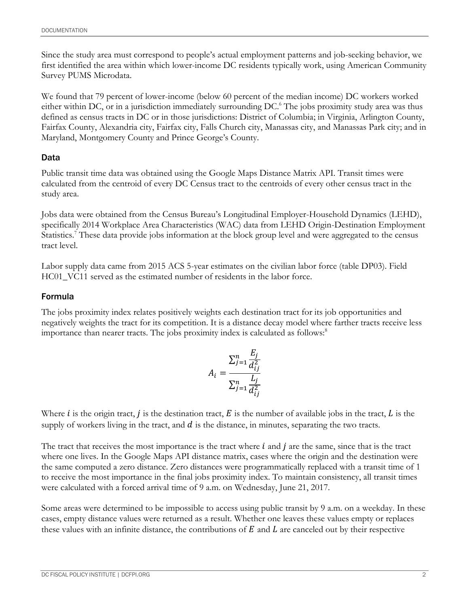Since the study area must correspond to people's actual employment patterns and job-seeking behavior, we first identified the area within which lower-income DC residents typically work, using American Community Survey PUMS Microdata.

We found that 79 percent of lower-income (below 60 percent of the median income) DC workers worked either within DC, or in a jurisdiction immediately surrounding DC.<sup>6</sup> The jobs proximity study area was thus defined as census tracts in DC or in those jurisdictions: District of Columbia; in Virginia, Arlington County, Fairfax County, Alexandria city, Fairfax city, Falls Church city, Manassas city, and Manassas Park city; and in Maryland, Montgomery County and Prince George's County.

# Data

Public transit time data was obtained using the Google Maps Distance Matrix API. Transit times were calculated from the centroid of every DC Census tract to the centroids of every other census tract in the study area.

Jobs data were obtained from the Census Bureau's Longitudinal Employer-Household Dynamics (LEHD), specifically 2014 Workplace Area Characteristics (WAC) data from LEHD Origin-Destination Employment Statistics.<sup>7</sup> These data provide jobs information at the block group level and were aggregated to the census tract level.

Labor supply data came from 2015 ACS 5-year estimates on the civilian labor force (table DP03). Field HC01\_VC11 served as the estimated number of residents in the labor force.

# Formula

The jobs proximity index relates positively weights each destination tract for its job opportunities and negatively weights the tract for its competition. It is a distance decay model where farther tracts receive less importance than nearer tracts. The jobs proximity index is calculated as follows:<sup>8</sup>

$$
A_i = \frac{\sum_{j=1}^n \frac{E_j}{d_{ij}^2}}{\sum_{j=1}^n \frac{L_j}{d_{ij}^2}}
$$

Where *i* is the origin tract, *j* is the destination tract, *E* is the number of available jobs in the tract, *L* is the supply of workers living in the tract, and  $d$  is the distance, in minutes, separating the two tracts.

The tract that receives the most importance is the tract where  $i$  and  $j$  are the same, since that is the tract where one lives. In the Google Maps API distance matrix, cases where the origin and the destination were the same computed a zero distance. Zero distances were programmatically replaced with a transit time of 1 to receive the most importance in the final jobs proximity index. To maintain consistency, all transit times were calculated with a forced arrival time of 9 a.m. on Wednesday, June 21, 2017.

Some areas were determined to be impossible to access using public transit by 9 a.m. on a weekday. In these cases, empty distance values were returned as a result. Whether one leaves these values empty or replaces these values with an infinite distance, the contributions of  $E$  and  $L$  are canceled out by their respective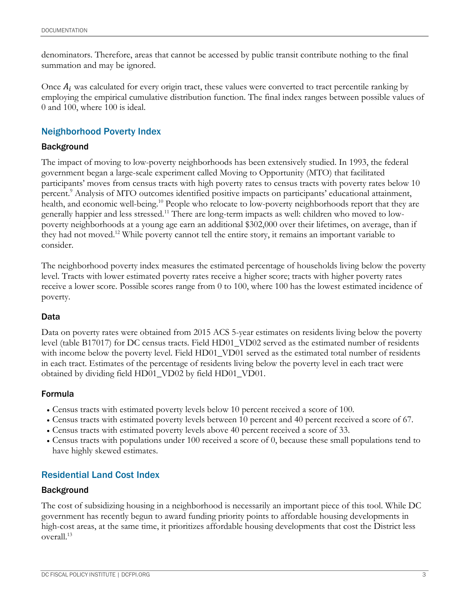denominators. Therefore, areas that cannot be accessed by public transit contribute nothing to the final summation and may be ignored.

Once  $A_i$  was calculated for every origin tract, these values were converted to tract percentile ranking by employing the empirical cumulative distribution function. The final index ranges between possible values of 0 and 100, where 100 is ideal.

# Neighborhood Poverty Index

### Background

The impact of moving to low-poverty neighborhoods has been extensively studied. In 1993, the federal government began a large-scale experiment called Moving to Opportunity (MTO) that facilitated participants' moves from census tracts with high poverty rates to census tracts with poverty rates below 10 percent. <sup>9</sup> Analysis of MTO outcomes identified positive impacts on participants' educational attainment, health, and economic well-being.<sup>10</sup> People who relocate to low-poverty neighborhoods report that they are generally happier and less stressed.<sup>11</sup> There are long-term impacts as well: children who moved to lowpoverty neighborhoods at a young age earn an additional \$302,000 over their lifetimes, on average, than if they had not moved.<sup>12</sup> While poverty cannot tell the entire story, it remains an important variable to consider.

The neighborhood poverty index measures the estimated percentage of households living below the poverty level. Tracts with lower estimated poverty rates receive a higher score; tracts with higher poverty rates receive a lower score. Possible scores range from 0 to 100, where 100 has the lowest estimated incidence of poverty.

### Data

Data on poverty rates were obtained from 2015 ACS 5-year estimates on residents living below the poverty level (table B17017) for DC census tracts. Field HD01\_VD02 served as the estimated number of residents with income below the poverty level. Field HD01\_VD01 served as the estimated total number of residents in each tract. Estimates of the percentage of residents living below the poverty level in each tract were obtained by dividing field HD01\_VD02 by field HD01\_VD01.

### Formula

- Census tracts with estimated poverty levels below 10 percent received a score of 100.
- Census tracts with estimated poverty levels between 10 percent and 40 percent received a score of 67.
- Census tracts with estimated poverty levels above 40 percent received a score of 33.
- Census tracts with populations under 100 received a score of 0, because these small populations tend to have highly skewed estimates.

# Residential Land Cost Index

### Background

The cost of subsidizing housing in a neighborhood is necessarily an important piece of this tool. While DC government has recently begun to award funding priority points to affordable housing developments in high-cost areas, at the same time, it prioritizes affordable housing developments that cost the District less overall.13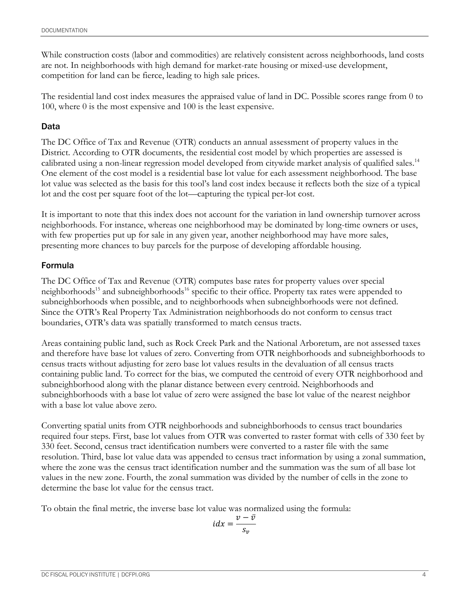While construction costs (labor and commodities) are relatively consistent across neighborhoods, land costs are not. In neighborhoods with high demand for market-rate housing or mixed-use development, competition for land can be fierce, leading to high sale prices.

The residential land cost index measures the appraised value of land in DC. Possible scores range from 0 to 100, where 0 is the most expensive and 100 is the least expensive.

# Data

The DC Office of Tax and Revenue (OTR) conducts an annual assessment of property values in the District. According to OTR documents, the residential cost model by which properties are assessed is calibrated using a non-linear regression model developed from citywide market analysis of qualified sales.<sup>14</sup> One element of the cost model is a residential base lot value for each assessment neighborhood. The base lot value was selected as the basis for this tool's land cost index because it reflects both the size of a typical lot and the cost per square foot of the lot—capturing the typical per-lot cost.

It is important to note that this index does not account for the variation in land ownership turnover across neighborhoods. For instance, whereas one neighborhood may be dominated by long-time owners or uses, with few properties put up for sale in any given year, another neighborhood may have more sales, presenting more chances to buy parcels for the purpose of developing affordable housing.

# Formula

The DC Office of Tax and Revenue (OTR) computes base rates for property values over special neighborhoods<sup>15</sup> and subneighborhoods<sup>16</sup> specific to their office. Property tax rates were appended to subneighborhoods when possible, and to neighborhoods when subneighborhoods were not defined. Since the OTR's Real Property Tax Administration neighborhoods do not conform to census tract boundaries, OTR's data was spatially transformed to match census tracts.

Areas containing public land, such as Rock Creek Park and the National Arboretum, are not assessed taxes and therefore have base lot values of zero. Converting from OTR neighborhoods and subneighborhoods to census tracts without adjusting for zero base lot values results in the devaluation of all census tracts containing public land. To correct for the bias, we computed the centroid of every OTR neighborhood and subneighborhood along with the planar distance between every centroid. Neighborhoods and subneighborhoods with a base lot value of zero were assigned the base lot value of the nearest neighbor with a base lot value above zero.

Converting spatial units from OTR neighborhoods and subneighborhoods to census tract boundaries required four steps. First, base lot values from OTR was converted to raster format with cells of 330 feet by 330 feet. Second, census tract identification numbers were converted to a raster file with the same resolution. Third, base lot value data was appended to census tract information by using a zonal summation, where the zone was the census tract identification number and the summation was the sum of all base lot values in the new zone. Fourth, the zonal summation was divided by the number of cells in the zone to determine the base lot value for the census tract.

To obtain the final metric, the inverse base lot value was normalized using the formula:

$$
idx = \frac{v - \bar{v}}{s_v}
$$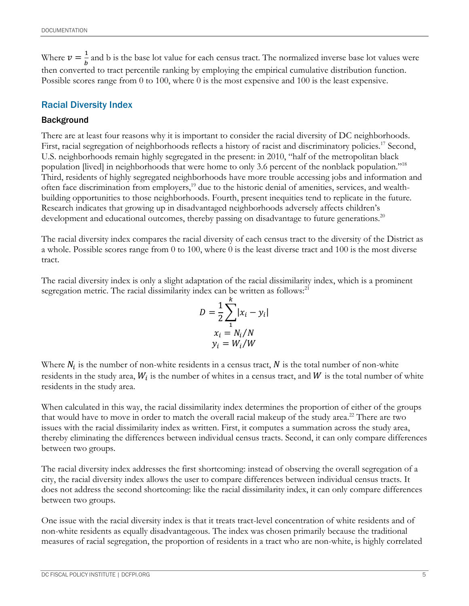Where  $v = \frac{1}{b}$  $\frac{1}{b}$  and b is the base lot value for each census tract. The normalized inverse base lot values were then converted to tract percentile ranking by employing the empirical cumulative distribution function. Possible scores range from 0 to 100, where 0 is the most expensive and 100 is the least expensive.

# Racial Diversity Index

### **Background**

There are at least four reasons why it is important to consider the racial diversity of DC neighborhoods. First, racial segregation of neighborhoods reflects a history of racist and discriminatory policies.<sup>17</sup> Second, U.S. neighborhoods remain highly segregated in the present: in 2010, "half of the metropolitan black population [lived] in neighborhoods that were home to only 3.6 percent of the nonblack population."<sup>18</sup> Third, residents of highly segregated neighborhoods have more trouble accessing jobs and information and often face discrimination from employers,<sup>19</sup> due to the historic denial of amenities, services, and wealthbuilding opportunities to those neighborhoods. Fourth, present inequities tend to replicate in the future. Research indicates that growing up in disadvantaged neighborhoods adversely affects children's development and educational outcomes, thereby passing on disadvantage to future generations.<sup>20</sup>

The racial diversity index compares the racial diversity of each census tract to the diversity of the District as a whole. Possible scores range from 0 to 100, where 0 is the least diverse tract and 100 is the most diverse tract.

The racial diversity index is only a slight adaptation of the racial dissimilarity index, which is a prominent segregation metric. The racial dissimilarity index can be written as follows:<sup>21</sup>

$$
D = \frac{1}{2} \sum_{i=1}^{k} |x_i - y_i|
$$
  

$$
x_i = N_i/N
$$
  

$$
y_i = W_i/W
$$

Where  $N_i$  is the number of non-white residents in a census tract, N is the total number of non-white residents in the study area,  $W_i$  is the number of whites in a census tract, and  $W$  is the total number of white residents in the study area.

When calculated in this way, the racial dissimilarity index determines the proportion of either of the groups that would have to move in order to match the overall racial makeup of the study area.<sup>22</sup> There are two issues with the racial dissimilarity index as written. First, it computes a summation across the study area, thereby eliminating the differences between individual census tracts. Second, it can only compare differences between two groups.

The racial diversity index addresses the first shortcoming: instead of observing the overall segregation of a city, the racial diversity index allows the user to compare differences between individual census tracts. It does not address the second shortcoming: like the racial dissimilarity index, it can only compare differences between two groups.

One issue with the racial diversity index is that it treats tract-level concentration of white residents and of non-white residents as equally disadvantageous. The index was chosen primarily because the traditional measures of racial segregation, the proportion of residents in a tract who are non-white, is highly correlated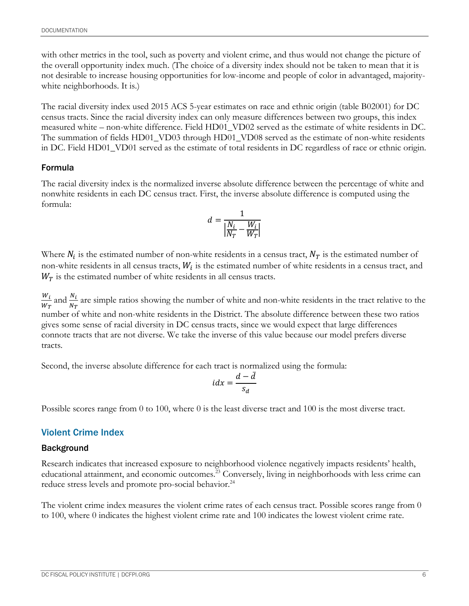with other metrics in the tool, such as poverty and violent crime, and thus would not change the picture of the overall opportunity index much. (The choice of a diversity index should not be taken to mean that it is not desirable to increase housing opportunities for low-income and people of color in advantaged, majoritywhite neighborhoods. It is.)

The racial diversity index used 2015 ACS 5-year estimates on race and ethnic origin (table B02001) for DC census tracts. Since the racial diversity index can only measure differences between two groups, this index measured white – non-white difference. Field HD01\_VD02 served as the estimate of white residents in DC. The summation of fields HD01\_VD03 through HD01\_VD08 served as the estimate of non-white residents in DC. Field HD01\_VD01 served as the estimate of total residents in DC regardless of race or ethnic origin.

#### Formula

The racial diversity index is the normalized inverse absolute difference between the percentage of white and nonwhite residents in each DC census tract. First, the inverse absolute difference is computed using the formula:

$$
d = \frac{1}{\left|\frac{N_i}{N_T} - \frac{W_i}{W_T}\right|}
$$

Where  $N_i$  is the estimated number of non-white residents in a census tract,  $N_T$  is the estimated number of non-white residents in all census tracts,  $W_i$  is the estimated number of white residents in a census tract, and  $W_T$  is the estimated number of white residents in all census tracts.

 $W_i$  $\frac{W_i}{W_T}$  and  $\frac{N_i}{N_T}$  are simple ratios showing the number of white and non-white residents in the tract relative to the number of white and non-white residents in the District. The absolute difference between these two ratios gives some sense of racial diversity in DC census tracts, since we would expect that large differences connote tracts that are not diverse. We take the inverse of this value because our model prefers diverse tracts.

Second, the inverse absolute difference for each tract is normalized using the formula:

$$
idx = \frac{d - \bar{d}}{s_d}
$$

Possible scores range from 0 to 100, where 0 is the least diverse tract and 100 is the most diverse tract.

### Violent Crime Index

#### Background

Research indicates that increased exposure to neighborhood violence negatively impacts residents' health, educational attainment, and economic outcomes.<sup>23</sup> Conversely, living in neighborhoods with less crime can reduce stress levels and promote pro-social behavior.<sup>24</sup>

The violent crime index measures the violent crime rates of each census tract. Possible scores range from 0 to 100, where 0 indicates the highest violent crime rate and 100 indicates the lowest violent crime rate.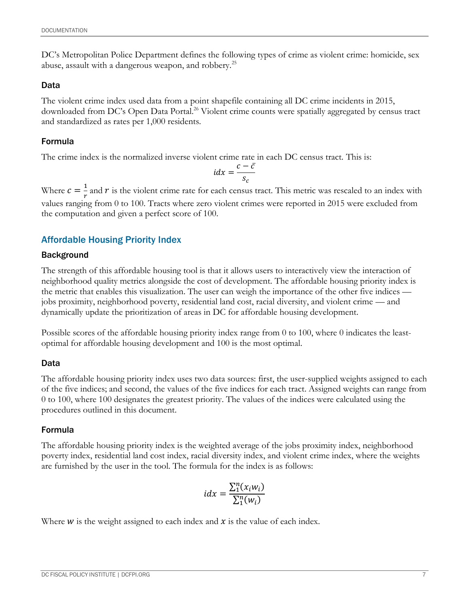DC's Metropolitan Police Department defines the following types of crime as violent crime: homicide, sex abuse, assault with a dangerous weapon, and robbery.<sup>25</sup>

### Data

The violent crime index used data from a point shapefile containing all DC crime incidents in 2015, downloaded from DC's Open Data Portal. <sup>26</sup> Violent crime counts were spatially aggregated by census tract and standardized as rates per 1,000 residents.

# Formula

The crime index is the normalized inverse violent crime rate in each DC census tract. This is:

$$
idx = \frac{c - \bar{c}}{s_c}
$$

Where  $c = \frac{1}{n}$  $\frac{1}{r}$  and  $r$  is the violent crime rate for each census tract. This metric was rescaled to an index with values ranging from 0 to 100. Tracts where zero violent crimes were reported in 2015 were excluded from the computation and given a perfect score of 100.

# Affordable Housing Priority Index

# Background

The strength of this affordable housing tool is that it allows users to interactively view the interaction of neighborhood quality metrics alongside the cost of development. The affordable housing priority index is the metric that enables this visualization. The user can weigh the importance of the other five indices jobs proximity, neighborhood poverty, residential land cost, racial diversity, and violent crime — and dynamically update the prioritization of areas in DC for affordable housing development.

Possible scores of the affordable housing priority index range from 0 to 100, where 0 indicates the leastoptimal for affordable housing development and 100 is the most optimal.

# Data

The affordable housing priority index uses two data sources: first, the user-supplied weights assigned to each of the five indices; and second, the values of the five indices for each tract. Assigned weights can range from 0 to 100, where 100 designates the greatest priority. The values of the indices were calculated using the procedures outlined in this document.

# Formula

The affordable housing priority index is the weighted average of the jobs proximity index, neighborhood poverty index, residential land cost index, racial diversity index, and violent crime index, where the weights are furnished by the user in the tool. The formula for the index is as follows:

$$
idx = \frac{\sum_{1}^{n}(x_iw_i)}{\sum_{1}^{n}(w_i)}
$$

Where  $w$  is the weight assigned to each index and  $x$  is the value of each index.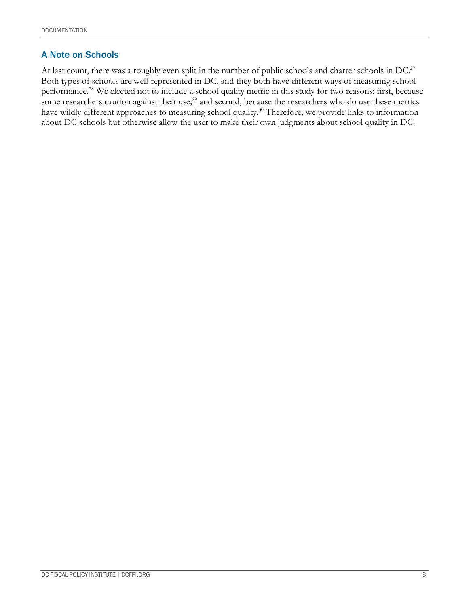# A Note on Schools

At last count, there was a roughly even split in the number of public schools and charter schools in DC.<sup>27</sup> Both types of schools are well-represented in DC, and they both have different ways of measuring school performance.<sup>28</sup> We elected not to include a school quality metric in this study for two reasons: first, because some researchers caution against their use;<sup>29</sup> and second, because the researchers who do use these metrics have wildly different approaches to measuring school quality.<sup>30</sup> Therefore, we provide links to information about DC schools but otherwise allow the user to make their own judgments about school quality in DC.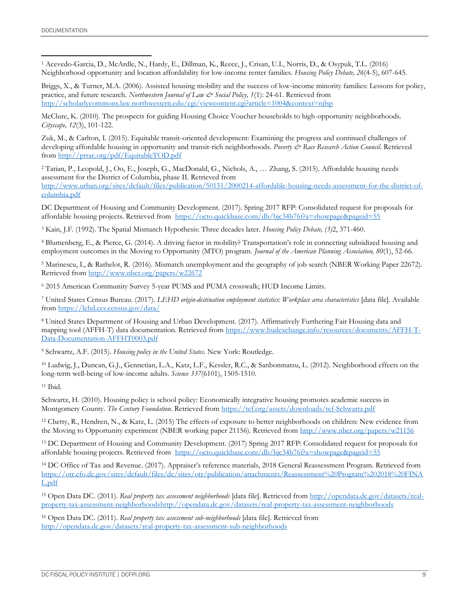<sup>1</sup> Acevedo-Garcia, D., McArdle, N., Hardy, E., Dillman, K., Reece, J., Crisan, U.I., Norris, D., & Osypuk, T.L. (2016) Neighborhood opportunity and location affordability for low-income renter families. *Housing Policy Debate, 26*(4-5), 607-645. l

Briggs, X., & Turner, M.A. (2006). Assisted housing mobility and the success of low-income minority families: Lessons for policy, practice, and future research. *Northwestern Journal of Law & Social Policy, 1*(1): 24-61. Retrieved from <http://scholarlycommons.law.northwestern.edu/cgi/viewcontent.cgi?article=1004&context=njlsp>

McClure, K. (2010). The prospects for guiding Housing Choice Voucher households to high-opportunity neighborhoods. *Cityscape, 12*(3), 101-122.

Zuk, M., & Carlton, I. (2015). Equitable transit-oriented development: Examining the progress and continued challenges of developing affordable housing in opportunity and transit-rich neighborhoods. Poverty & Race Research Action Council. Retrieved from<http://prrac.org/pdf/EquitableTOD.pdf>

<sup>2</sup> Tatian, P., Leopold, J., Oo, E., Joseph, G., MacDonald, G., Nichols, A., … Zhang, S. (2015). Affordable housing needs assessment for the District of Columbia, phase II. Retrieved from [http://www.urban.org/sites/default/files/publication/50151/2000214-affordable-housing-needs-assessment-for-the-district-of](http://www.urban.org/sites/default/files/publication/50151/2000214-affordable-housing-needs-assessment-for-the-district-of-columbia.pdf)[columbia.pdf](http://www.urban.org/sites/default/files/publication/50151/2000214-affordable-housing-needs-assessment-for-the-district-of-columbia.pdf)

DC Department of Housing and Community Development. (2017). Spring 2017 RFP: Consolidated request for proposals for affordable housing projects. Retrieved from<https://octo.quickbase.com/db/bjc34b76f?a=showpage&pageid=55>

<sup>3</sup> Kain, J.F. (1992). The Spatial Mismatch Hypothesis: Three decades later. *Housing Policy Debate, (3)*2, 371-460.

<sup>4</sup> Blumenberg, E., & Pierce, G. (2014). A driving factor in mobility? Transportation's role in connecting subsidized housing and employment outcomes in the Moving to Opportunity (MTO) program. *Journal of the American Planning Association, 80*(1), 52-66.

<sup>5</sup> Marinescu, I., & Rathelot, R. (2016). Mismatch unemployment and the geography of job search (NBER Working Paper 22672). Retrieved from<http://www.nber.org/papers/w22672>

<sup>6</sup> 2015 American Community Survey 5-year PUMS and PUMA crosswalk; HUD Income Limits.

<sup>7</sup> United States Census Bureau. (2017). *LEHD origin-destination employment statistics: Workplace area characteristics* [data file]. Available from<https://lehd.ces.census.gov/data/>

<sup>8</sup> United States Department of Housing and Urban Development. (2017). Affirmatively Furthering Fair Housing data and mapping tool (AFFH-T) data documentation. Retrieved from [https://www.hudexchange.info/resources/documents/AFFH-T-](https://www.hudexchange.info/resources/documents/AFFH-T-Data-Documentation-AFFHT0003.pdf)[Data-Documentation-AFFHT0003.pdf](https://www.hudexchange.info/resources/documents/AFFH-T-Data-Documentation-AFFHT0003.pdf)

<sup>9</sup> Schwartz, A.F. (2015). *Housing policy in the United States*. New York: Routledge.

<sup>10</sup> Ludwig, J., Duncan, G.J., Gennetian, L.A., Katz, L.F., Kessler, R.C., & Sanbonmatsu, L. (2012). Neighborhood effects on the long-term well-being of low-income adults. *Science 337*(6101), 1505-1510.

<sup>11</sup> Ibid.

Schwartz, H. (2010). Housing policy is school policy: Economically integrative housing promotes academic success in Montgomery County. *The Century Foundation*. Retrieved from<https://tcf.org/assets/downloads/tcf-Schwartz.pdf>

<sup>12</sup> Chetty, R., Hendren, N., & Katz, L. (2015) The effects of exposure to better neighborhoods on children: New evidence from the Moving to Opportunity experiment (NBER working paper 21156). Retrieved from<http://www.nber.org/papers/w21156>

<sup>13</sup> DC Department of Housing and Community Development. (2017) Spring 2017 RFP: Consolidated request for proposals for affordable housing projects. Retrieved from <https://octo.quickbase.com/db/bjc34b76f?a=showpage&pageid=55>

<sup>14</sup> DC Office of Tax and Revenue. (2017). Appraiser's reference materials, 2018 General Reassessment Program. Retrieved from [https://otr.cfo.dc.gov/sites/default/files/dc/sites/otr/publication/attachments/Reassessment%20Program%202018%20FINA](https://otr.cfo.dc.gov/sites/default/files/dc/sites/otr/publication/attachments/Reassessment%20Program%202018%20FINAL.pdf) [L.pdf](https://otr.cfo.dc.gov/sites/default/files/dc/sites/otr/publication/attachments/Reassessment%20Program%202018%20FINAL.pdf)

<sup>15</sup> Open Data DC. (2011). *Real property tax assessment neighborhoods* [data file]. Retrieved fro[m http://opendata.dc.gov/datasets/real](http://opendata.dc.gov/datasets/real-property-tax-assessment-neighborhoods)[property-tax-assessment-neighborhoodsh](http://opendata.dc.gov/datasets/real-property-tax-assessment-neighborhoods)ttp://opendata.dc.gov/datasets/real-property-tax-assessment-neighborhoods

<sup>16</sup> Open Data DC. (2011). *Real property tax assessment sub-neighborhoods* [data file]. Retrieved from <http://opendata.dc.gov/datasets/real-property-tax-assessment-sub-neighborhoods>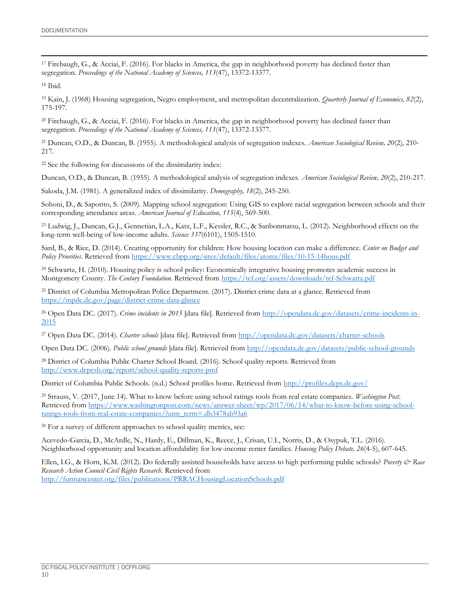<sup>17</sup> Firebaugh, G., & Acciai, F. (2016). For blacks in America, the gap in neighborhood poverty has declined faster than segregation. *Proceedings of the National Academy of Sciences, 113*(47), 13372-13377.

l

<sup>19</sup> Kain, J. (1968) Housing segregation, Negro employment, and metropolitan decentralization. *Quarterly Journal of Economics, 82*(2), 175-197.

<sup>20</sup> Firebaugh, G., & Acciai, F. (2016). For blacks in America, the gap in neighborhood poverty has declined faster than segregation. *Proceedings of the National Academy of Sciences, 113*(47), 13372-13377.

<sup>21</sup> Duncan, O.D., & Duncan, B. (1955). A methodological analysis of segregation indexes. *American Sociological Review, 20*(2), 210- 217.

<sup>22</sup> See the following for discussions of the dissimilarity index:

Duncan, O.D., & Duncan, B. (1955). A methodological analysis of segregation indexes. *American Sociological Review, 20*(2), 210-217.

Sakoda, J.M. (1981). A generalized index of dissimilarity. *Demography, 18*(2), 245-250.

Sohoni, D., & Saporito, S. (2009). Mapping school segregation: Using GIS to explore racial segregation between schools and their corresponding attendance areas. *American Journal of Education, 115*(4), 569-500.

<sup>23</sup> Ludwig, J., Duncan, G.J., Gennetian, L.A., Katz, L.F., Kessler, R.C., & Sanbonmatsu, L. (2012). Neighborhood effects on the long-term well-being of low-income adults. *Science 337*(6101), 1505-1510.

Sard, B., & Rice, D. (2014). Creating opportunity for children: How housing location can make a difference. *Center on Budget and Policy Priorities*. Retrieved from<https://www.cbpp.org/sites/default/files/atoms/files/10-15-14hous.pdf>

<sup>24</sup> Schwartz, H. (2010). Housing policy is school policy: Economically integrative housing promotes academic success in Montgomery County. *The Century Foundation*. Retrieved from<https://tcf.org/assets/downloads/tcf-Schwartz.pdf>

<sup>25</sup> District of Columbia Metropolitan Police Department. (2017). District crime data at a glance. Retrieved from <https://mpdc.dc.gov/page/district-crime-data-glance>

<sup>26</sup> Open Data DC. (2017). *Crime incidents in 2015* [data file]. Retrieved from [http://opendata.dc.gov/datasets/crime-incidents-in-](http://opendata.dc.gov/datasets/crime-incidents-in-2015)[2015](http://opendata.dc.gov/datasets/crime-incidents-in-2015)

<sup>27</sup> Open Data DC. (2014). *Charter schools* [data file]. Retrieved from<http://opendata.dc.gov/datasets/charter-schools>

Open Data DC. (2006). *Public school grounds* [data file]. Retrieved fro[m http://opendata.dc.gov/datasets/public-school-grounds](http://opendata.dc.gov/datasets/public-school-grounds)

<sup>28</sup> District of Columbia Public Charter School Board. (2016). School quality reports. Retrieved from <http://www.dcpcsb.org/report/school-quality-reports-pmf>

District of Columbia Public Schools. (n.d.) School profiles home. Retrieved from<http://profiles.dcps.dc.gov/>

<sup>29</sup> Strauss, V. (2017, June 14). What to know before using school ratings tools from real estate companies. *Washington Post*. Retrieved from [https://www.washingtonpost.com/news/answer-sheet/wp/2017/06/14/what-to-know-before-using-school](https://www.washingtonpost.com/news/answer-sheet/wp/2017/06/14/what-to-know-before-using-school-ratings-tools-from-real-estate-companies/?utm_term=.db3478ab93a6)[ratings-tools-from-real-estate-companies/?utm\\_term=.db3478ab93a6](https://www.washingtonpost.com/news/answer-sheet/wp/2017/06/14/what-to-know-before-using-school-ratings-tools-from-real-estate-companies/?utm_term=.db3478ab93a6)

<sup>30</sup> For a survey of different approaches to school quality metrics, see:

Acevedo-Garcia, D., McArdle, N., Hardy, E., Dillman, K., Reece, J., Crisan, U.I., Norris, D., & Osypuk, T.L. (2016). Neighborhood opportunity and location affordability for low-income renter families. *Housing Policy Debate, 26*(4-5), 607-645.

Ellen, I.G., & Horn, K.M. (2012). Do federally assisted households have access to high performing public schools? *Poverty & Race Research Action Council Civil Rights Research*. Retrieved from <http://furmancenter.org/files/publications/PRRACHousingLocationSchools.pdf>

<sup>18</sup> Ibid.